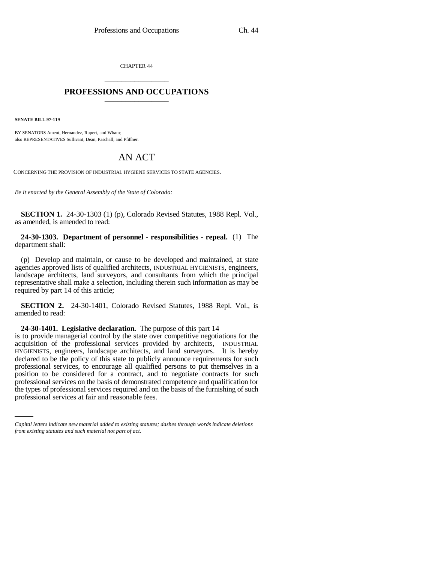CHAPTER 44 \_\_\_\_\_\_\_\_\_\_\_\_\_\_\_

## **PROFESSIONS AND OCCUPATIONS** \_\_\_\_\_\_\_\_\_\_\_\_\_\_\_

**SENATE BILL 97-119**

BY SENATORS Ament, Hernandez, Rupert, and Wham; also REPRESENTATIVES Sullivant, Dean, Paschall, and Pfiffner.

## AN ACT

CONCERNING THE PROVISION OF INDUSTRIAL HYGIENE SERVICES TO STATE AGENCIES.

*Be it enacted by the General Assembly of the State of Colorado:*

**SECTION 1.** 24-30-1303 (1) (p), Colorado Revised Statutes, 1988 Repl. Vol., as amended, is amended to read:

**24-30-1303. Department of personnel - responsibilities - repeal.** (1) The department shall:

(p) Develop and maintain, or cause to be developed and maintained, at state agencies approved lists of qualified architects, INDUSTRIAL HYGIENISTS, engineers, landscape architects, land surveyors, and consultants from which the principal representative shall make a selection, including therein such information as may be required by part 14 of this article;

**SECTION 2.** 24-30-1401, Colorado Revised Statutes, 1988 Repl. Vol., is amended to read:

**24-30-1401. Legislative declaration.** The purpose of this part 14

professional services on the basis of demonstrated competence and qualification for is to provide managerial control by the state over competitive negotiations for the acquisition of the professional services provided by architects, INDUSTRIAL HYGIENISTS, engineers, landscape architects, and land surveyors. It is hereby declared to be the policy of this state to publicly announce requirements for such professional services, to encourage all qualified persons to put themselves in a position to be considered for a contract, and to negotiate contracts for such the types of professional services required and on the basis of the furnishing of such professional services at fair and reasonable fees.

*Capital letters indicate new material added to existing statutes; dashes through words indicate deletions from existing statutes and such material not part of act.*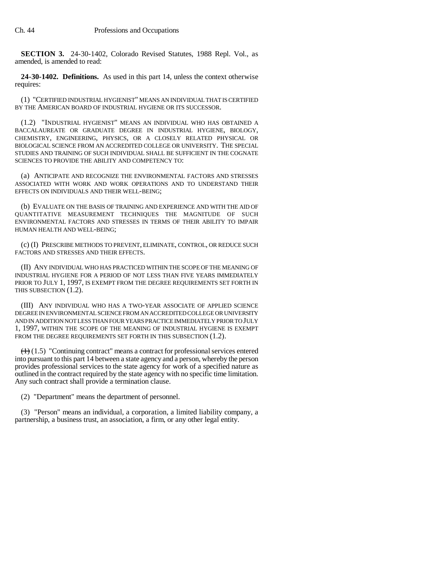**SECTION 3.** 24-30-1402, Colorado Revised Statutes, 1988 Repl. Vol., as amended, is amended to read:

**24-30-1402. Definitions.** As used in this part 14, unless the context otherwise requires:

(1) "CERTIFIED INDUSTRIAL HYGIENIST" MEANS AN INDIVIDUAL THAT IS CERTIFIED BY THE AMERICAN BOARD OF INDUSTRIAL HYGIENE OR ITS SUCCESSOR.

(1.2) "INDUSTRIAL HYGIENIST" MEANS AN INDIVIDUAL WHO HAS OBTAINED A BACCALAUREATE OR GRADUATE DEGREE IN INDUSTRIAL HYGIENE, BIOLOGY, CHEMISTRY, ENGINEERING, PHYSICS, OR A CLOSELY RELATED PHYSICAL OR BIOLOGICAL SCIENCE FROM AN ACCREDITED COLLEGE OR UNIVERSITY. THE SPECIAL STUDIES AND TRAINING OF SUCH INDIVIDUAL SHALL BE SUFFICIENT IN THE COGNATE SCIENCES TO PROVIDE THE ABILITY AND COMPETENCY TO:

(a) ANTICIPATE AND RECOGNIZE THE ENVIRONMENTAL FACTORS AND STRESSES ASSOCIATED WITH WORK AND WORK OPERATIONS AND TO UNDERSTAND THEIR EFFECTS ON INDIVIDUALS AND THEIR WELL-BEING;

(b) EVALUATE ON THE BASIS OF TRAINING AND EXPERIENCE AND WITH THE AID OF QUANTITATIVE MEASUREMENT TECHNIQUES THE MAGNITUDE OF SUCH ENVIRONMENTAL FACTORS AND STRESSES IN TERMS OF THEIR ABILITY TO IMPAIR HUMAN HEALTH AND WELL-BEING;

(c) (I) PRESCRIBE METHODS TO PREVENT, ELIMINATE, CONTROL, OR REDUCE SUCH FACTORS AND STRESSES AND THEIR EFFECTS.

(II) ANY INDIVIDUAL WHO HAS PRACTICED WITHIN THE SCOPE OF THE MEANING OF INDUSTRIAL HYGIENE FOR A PERIOD OF NOT LESS THAN FIVE YEARS IMMEDIATELY PRIOR TO JULY 1, 1997, IS EXEMPT FROM THE DEGREE REQUIREMENTS SET FORTH IN THIS SUBSECTION (1.2).

(III) ANY INDIVIDUAL WHO HAS A TWO-YEAR ASSOCIATE OF APPLIED SCIENCE DEGREE IN ENVIRONMENTAL SCIENCE FROM AN ACCREDITED COLLEGE OR UNIVERSITY AND IN ADDITION NOT LESS THAN FOUR YEARS PRACTICE IMMEDIATELY PRIOR TO JULY 1, 1997, WITHIN THE SCOPE OF THE MEANING OF INDUSTRIAL HYGIENE IS EXEMPT FROM THE DEGREE REQUIREMENTS SET FORTH IN THIS SUBSECTION (1.2).

 $(1.5)$  "Continuing contract" means a contract for professional services entered into pursuant to this part 14 between a state agency and a person, whereby the person provides professional services to the state agency for work of a specified nature as outlined in the contract required by the state agency with no specific time limitation. Any such contract shall provide a termination clause.

(2) "Department" means the department of personnel.

(3) "Person" means an individual, a corporation, a limited liability company, a partnership, a business trust, an association, a firm, or any other legal entity.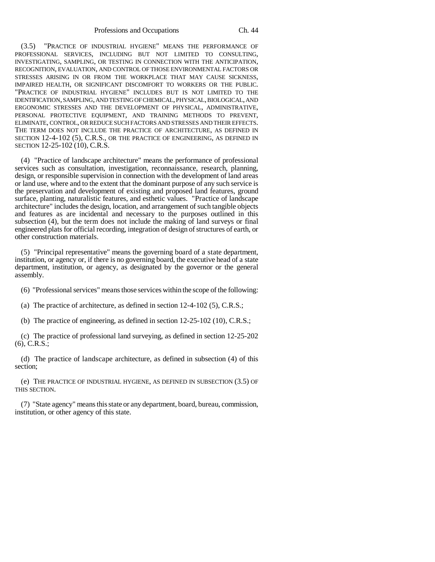(3.5) "PRACTICE OF INDUSTRIAL HYGIENE" MEANS THE PERFORMANCE OF PROFESSIONAL SERVICES, INCLUDING BUT NOT LIMITED TO CONSULTING, INVESTIGATING, SAMPLING, OR TESTING IN CONNECTION WITH THE ANTICIPATION, RECOGNITION, EVALUATION, AND CONTROL OF THOSE ENVIRONMENTAL FACTORS OR STRESSES ARISING IN OR FROM THE WORKPLACE THAT MAY CAUSE SICKNESS, IMPAIRED HEALTH, OR SIGNIFICANT DISCOMFORT TO WORKERS OR THE PUBLIC. "PRACTICE OF INDUSTRIAL HYGIENE" INCLUDES BUT IS NOT LIMITED TO THE IDENTIFICATION, SAMPLING, AND TESTING OF CHEMICAL, PHYSICAL, BIOLOGICAL, AND ERGONOMIC STRESSES AND THE DEVELOPMENT OF PHYSICAL, ADMINISTRATIVE, PERSONAL PROTECTIVE EQUIPMENT, AND TRAINING METHODS TO PREVENT, ELIMINATE, CONTROL, OR REDUCE SUCH FACTORS AND STRESSES AND THEIR EFFECTS. THE TERM DOES NOT INCLUDE THE PRACTICE OF ARCHITECTURE, AS DEFINED IN SECTION 12-4-102 (5), C.R.S., OR THE PRACTICE OF ENGINEERING, AS DEFINED IN SECTION 12-25-102 (10), C.R.S.

(4) "Practice of landscape architecture" means the performance of professional services such as consultation, investigation, reconnaissance, research, planning, design, or responsible supervision in connection with the development of land areas or land use, where and to the extent that the dominant purpose of any such service is the preservation and development of existing and proposed land features, ground surface, planting, naturalistic features, and esthetic values. "Practice of landscape architecture" includes the design, location, and arrangement of such tangible objects and features as are incidental and necessary to the purposes outlined in this subsection (4), but the term does not include the making of land surveys or final engineered plats for official recording, integration of design of structures of earth, or other construction materials.

(5) "Principal representative" means the governing board of a state department, institution, or agency or, if there is no governing board, the executive head of a state department, institution, or agency, as designated by the governor or the general assembly.

(6) "Professional services" means those services within the scope of the following:

(a) The practice of architecture, as defined in section 12-4-102 (5), C.R.S.;

(b) The practice of engineering, as defined in section 12-25-102 (10), C.R.S.;

(c) The practice of professional land surveying, as defined in section 12-25-202 (6), C.R.S.;

(d) The practice of landscape architecture, as defined in subsection (4) of this section;

(e) THE PRACTICE OF INDUSTRIAL HYGIENE, AS DEFINED IN SUBSECTION (3.5) OF THIS SECTION.

(7) "State agency" means this state or any department, board, bureau, commission, institution, or other agency of this state.